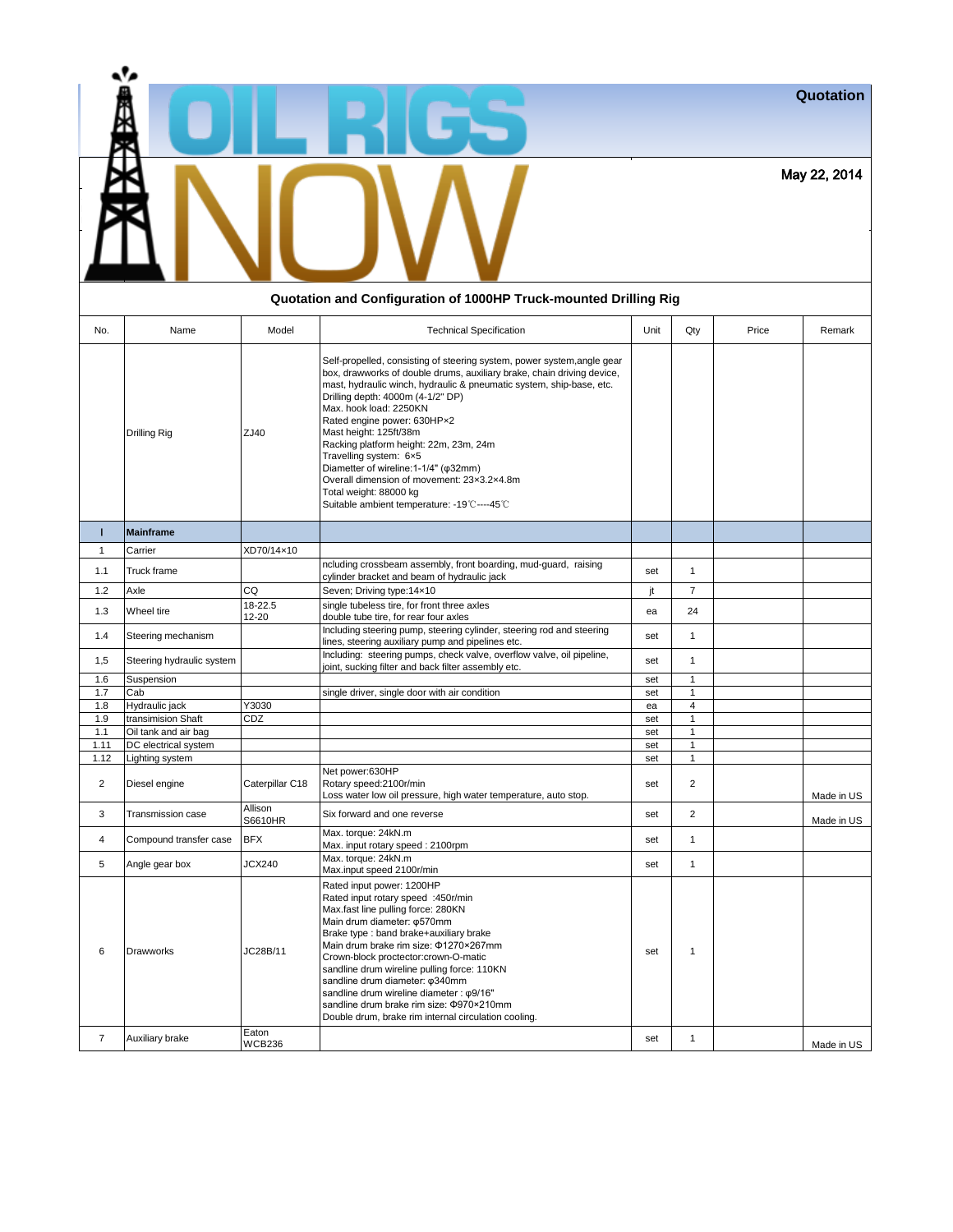| a's |                                                                   | Quotation    |
|-----|-------------------------------------------------------------------|--------------|
|     |                                                                   | May 22, 2014 |
|     | Oustation and Canfiguration of 1000UD Truple mounted Drilling Dig |              |

| Quotation and Configuration of 1000HP Truck-mounted Drilling Rig |                                         |                        |                                                                                                                                                                                                                                                                                                                                                                                                                                                                                                                                                                                                |            |                              |       |            |
|------------------------------------------------------------------|-----------------------------------------|------------------------|------------------------------------------------------------------------------------------------------------------------------------------------------------------------------------------------------------------------------------------------------------------------------------------------------------------------------------------------------------------------------------------------------------------------------------------------------------------------------------------------------------------------------------------------------------------------------------------------|------------|------------------------------|-------|------------|
| No.                                                              | Name                                    | Model                  | <b>Technical Specification</b>                                                                                                                                                                                                                                                                                                                                                                                                                                                                                                                                                                 | Unit       | Qty                          | Price | Remark     |
|                                                                  | Drilling Rig                            | ZJ40                   | Self-propelled, consisting of steering system, power system, angle gear<br>box, drawworks of double drums, auxiliary brake, chain driving device,<br>mast, hydraulic winch, hydraulic & pneumatic system, ship-base, etc.<br>Drilling depth: 4000m (4-1/2" DP)<br>Max. hook load: 2250KN<br>Rated engine power: 630HPx2<br>Mast height: 125ft/38m<br>Racking platform height: 22m, 23m, 24m<br>Travelling system: 6x5<br>Diametter of wireline:1-1/4" ( $\varphi$ 32mm)<br>Overall dimension of movement: 23x3.2x4.8m<br>Total weight: 88000 kg<br>Suitable ambient temperature: -19°C----45°C |            |                              |       |            |
| т                                                                | <b>Mainframe</b>                        |                        |                                                                                                                                                                                                                                                                                                                                                                                                                                                                                                                                                                                                |            |                              |       |            |
| $\mathbf{1}$                                                     | Carrier                                 | XD70/14×10             |                                                                                                                                                                                                                                                                                                                                                                                                                                                                                                                                                                                                |            |                              |       |            |
| 1.1                                                              | Truck frame                             |                        | ncluding crossbeam assembly, front boarding, mud-guard, raising<br>cylinder bracket and beam of hydraulic jack                                                                                                                                                                                                                                                                                                                                                                                                                                                                                 | set        | $\mathbf{1}$                 |       |            |
| 1.2                                                              | Axle                                    | CQ                     | Seven; Driving type:14×10                                                                                                                                                                                                                                                                                                                                                                                                                                                                                                                                                                      | jt         | $\overline{7}$               |       |            |
| 1.3                                                              | Wheel tire                              | 18-22.5<br>12-20       | single tubeless tire, for front three axles<br>double tube tire, for rear four axles                                                                                                                                                                                                                                                                                                                                                                                                                                                                                                           | ea         | 24                           |       |            |
| 1.4                                                              | Steering mechanism                      |                        | Including steering pump, steering cylinder, steering rod and steering<br>lines, steering auxiliary pump and pipelines etc.                                                                                                                                                                                                                                                                                                                                                                                                                                                                     | set        | $\mathbf{1}$                 |       |            |
| 1,5                                                              | Steering hydraulic system               |                        | Including: steering pumps, check valve, overflow valve, oil pipeline,<br>joint, sucking filter and back filter assembly etc.                                                                                                                                                                                                                                                                                                                                                                                                                                                                   | set        | $\mathbf{1}$                 |       |            |
| 1.6                                                              | Suspension                              |                        |                                                                                                                                                                                                                                                                                                                                                                                                                                                                                                                                                                                                | set        | $\mathbf{1}$                 |       |            |
| 1.7                                                              | Cab                                     |                        | single driver, single door with air condition                                                                                                                                                                                                                                                                                                                                                                                                                                                                                                                                                  | set        | $\mathbf{1}$                 |       |            |
| 1.8                                                              | Hydraulic jack                          | Y3030                  |                                                                                                                                                                                                                                                                                                                                                                                                                                                                                                                                                                                                | ea         | $\overline{4}$               |       |            |
| 1.9                                                              | transimision Shaft                      | CDZ                    |                                                                                                                                                                                                                                                                                                                                                                                                                                                                                                                                                                                                | set        | $\mathbf{1}$                 |       |            |
| 1.1<br>1.11                                                      | Oil tank and air bag                    |                        |                                                                                                                                                                                                                                                                                                                                                                                                                                                                                                                                                                                                | set        | $\mathbf{1}$<br>$\mathbf{1}$ |       |            |
| 1.12                                                             | DC electrical system<br>Lighting system |                        |                                                                                                                                                                                                                                                                                                                                                                                                                                                                                                                                                                                                | set        | $\mathbf{1}$                 |       |            |
| $\overline{2}$                                                   | Diesel engine                           | Caterpillar C18        | Net power:630HP<br>Rotary speed: 2100r/min<br>Loss water low oil pressure, high water temperature, auto stop.                                                                                                                                                                                                                                                                                                                                                                                                                                                                                  | set<br>set | $\overline{2}$               |       | Made in US |
| 3                                                                | Transmission case                       | Allison<br>S6610HR     | Six forward and one reverse                                                                                                                                                                                                                                                                                                                                                                                                                                                                                                                                                                    | set        | $\overline{2}$               |       | Made in US |
| $\overline{4}$                                                   | Compound transfer case                  | <b>BFX</b>             | Max. torque: 24kN.m<br>Max. input rotary speed: 2100rpm                                                                                                                                                                                                                                                                                                                                                                                                                                                                                                                                        | set        | $\mathbf{1}$                 |       |            |
| 5                                                                | Angle gear box                          | <b>JCX240</b>          | Max. torque: 24kN.m<br>Max.input speed 2100r/min                                                                                                                                                                                                                                                                                                                                                                                                                                                                                                                                               | set        | $\mathbf{1}$                 |       |            |
| 6                                                                | Drawworks                               | JC28B/11               | Rated input power: 1200HP<br>Rated input rotary speed :450r/min<br>Max.fast line pulling force: 280KN<br>Main drum diameter: ¢570mm<br>Brake type : band brake+auxiliary brake<br>Main drum brake rim size: \$1270×267mm<br>Crown-block proctector:crown-O-matic<br>sandline drum wireline pulling force: 110KN<br>sandline drum diameter: ¢340mm<br>sandline drum wireline diameter : ¢9/16"<br>sandline drum brake rim size: 0970×210mm<br>Double drum, brake rim internal circulation cooling.                                                                                              | set        | $\mathbf{1}$                 |       |            |
| $\overline{7}$                                                   | Auxiliary brake                         | Eaton<br><b>WCB236</b> |                                                                                                                                                                                                                                                                                                                                                                                                                                                                                                                                                                                                | set        | $\mathbf{1}$                 |       | Made in US |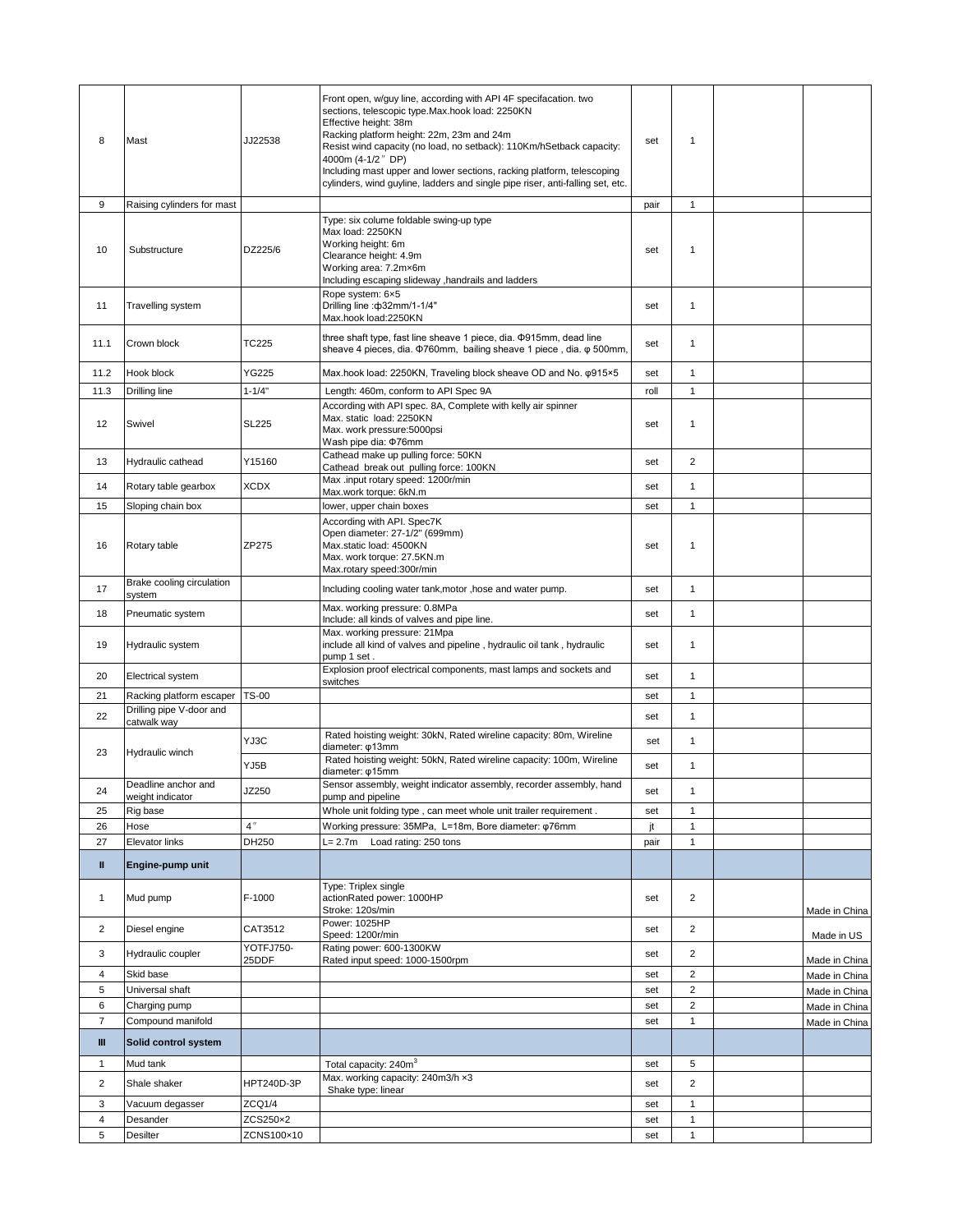| 8              | Mast                                    | JJ22538            | Front open, w/guy line, according with API 4F specifacation. two<br>sections, telescopic type.Max.hook load: 2250KN<br>Effective height: 38m<br>Racking platform height: 22m, 23m and 24m<br>Resist wind capacity (no load, no setback): 110Km/hSetback capacity:<br>4000m (4-1/2" DP)<br>Including mast upper and lower sections, racking platform, telescoping<br>cylinders, wind guyline, ladders and single pipe riser, anti-falling set, etc. | set  | $\mathbf{1}$            |                                |
|----------------|-----------------------------------------|--------------------|----------------------------------------------------------------------------------------------------------------------------------------------------------------------------------------------------------------------------------------------------------------------------------------------------------------------------------------------------------------------------------------------------------------------------------------------------|------|-------------------------|--------------------------------|
| 9              | Raising cylinders for mast              |                    |                                                                                                                                                                                                                                                                                                                                                                                                                                                    | pair | $\mathbf{1}$            |                                |
| 10             | Substructure                            | DZ225/6            | Type: six colume foldable swing-up type<br>Max load: 2250KN<br>Working height: 6m<br>Clearance height: 4.9m<br>Working area: 7.2mx6m<br>Including escaping slideway , handrails and ladders                                                                                                                                                                                                                                                        | set  | 1                       |                                |
| 11             | Travelling system                       |                    | Rope system: 6x5<br>Drilling line: ф32mm/1-1/4"<br>Max.hook load:2250KN                                                                                                                                                                                                                                                                                                                                                                            | set  | $\mathbf{1}$            |                                |
| 11.1           | Crown block                             | TC225              | three shaft type, fast line sheave 1 piece, dia. $\Phi$ 915mm, dead line<br>sheave 4 pieces, dia. $\Phi$ 760mm, bailing sheave 1 piece, dia. $\varphi$ 500mm,                                                                                                                                                                                                                                                                                      | set  | $\mathbf{1}$            |                                |
| 11.2           | Hook block                              | YG225              | Max.hook load: 2250KN, Traveling block sheave OD and No. $\varphi$ 915×5                                                                                                                                                                                                                                                                                                                                                                           | set  | $\mathbf{1}$            |                                |
| 11.3           | Drilling line                           | $1 - 1/4"$         | Length: 460m, conform to API Spec 9A                                                                                                                                                                                                                                                                                                                                                                                                               | roll | $\mathbf{1}$            |                                |
| 12             | Swivel                                  | <b>SL225</b>       | According with API spec. 8A, Complete with kelly air spinner<br>Max. static load: 2250KN<br>Max. work pressure:5000psi<br>Wash pipe dia: ¢76mm                                                                                                                                                                                                                                                                                                     | set  | 1                       |                                |
| 13             | Hydraulic cathead                       | Y15160             | Cathead make up pulling force: 50KN<br>Cathead break out pulling force: 100KN                                                                                                                                                                                                                                                                                                                                                                      | set  | $\overline{2}$          |                                |
| 14             | Rotary table gearbox                    | <b>XCDX</b>        | Max .input rotary speed: 1200r/min                                                                                                                                                                                                                                                                                                                                                                                                                 | set  | $\mathbf{1}$            |                                |
| 15             | Sloping chain box                       |                    | Max.work torque: 6kN.m<br>lower, upper chain boxes                                                                                                                                                                                                                                                                                                                                                                                                 | set  | $\mathbf{1}$            |                                |
|                |                                         |                    | According with API. Spec7K                                                                                                                                                                                                                                                                                                                                                                                                                         |      |                         |                                |
| 16             | Rotary table                            | ZP275              | Open diameter: 27-1/2" (699mm)<br>Max.static load: 4500KN<br>Max. work torque: 27.5KN.m<br>Max.rotary speed:300r/min                                                                                                                                                                                                                                                                                                                               | set  | $\mathbf{1}$            |                                |
| 17             | Brake cooling circulation<br>system     |                    | Including cooling water tank, motor, hose and water pump.                                                                                                                                                                                                                                                                                                                                                                                          | set  | 1                       |                                |
| 18             | Pneumatic system                        |                    | Max. working pressure: 0.8MPa                                                                                                                                                                                                                                                                                                                                                                                                                      | set  | $\mathbf{1}$            |                                |
| 19             | Hydraulic system                        |                    | Include: all kinds of valves and pipe line.<br>Max. working pressure: 21Mpa<br>include all kind of valves and pipeline, hydraulic oil tank, hydraulic<br>pump 1 set.                                                                                                                                                                                                                                                                               | set  | 1                       |                                |
| 20             | Electrical system                       |                    | Explosion proof electrical components, mast lamps and sockets and                                                                                                                                                                                                                                                                                                                                                                                  | set  | $\mathbf{1}$            |                                |
| 21             | Racking platform escaper                | <b>TS-00</b>       | switches                                                                                                                                                                                                                                                                                                                                                                                                                                           | set  | $\mathbf{1}$            |                                |
| 22             | Drilling pipe V-door and                |                    |                                                                                                                                                                                                                                                                                                                                                                                                                                                    |      | $\mathbf{1}$            |                                |
|                | catwalk way                             |                    | Rated hoisting weight: 30kN, Rated wireline capacity: 80m, Wireline                                                                                                                                                                                                                                                                                                                                                                                | set  |                         |                                |
| 23             | Hydraulic winch                         | YJ3C               | diameter: ¢13mm                                                                                                                                                                                                                                                                                                                                                                                                                                    | set  | 1                       |                                |
|                |                                         | YJ5B               | Rated hoisting weight: 50kN, Rated wireline capacity: 100m, Wireline<br>diameter: $\varphi$ 15mm                                                                                                                                                                                                                                                                                                                                                   | set  | 1                       |                                |
| 24             | Deadline anchor and<br>weight indicator | JZ250              | Sensor assembly, weight indicator assembly, recorder assembly, hand<br>pump and pipeline                                                                                                                                                                                                                                                                                                                                                           | set  | $\mathbf{1}$            |                                |
| 25             | Rig base                                |                    | Whole unit folding type, can meet whole unit trailer requirement.                                                                                                                                                                                                                                                                                                                                                                                  | set  | $\mathbf{1}$            |                                |
| 26             | Hose                                    | $4$ "              | Working pressure: 35MPa, L=18m, Bore diameter: ¢76mm                                                                                                                                                                                                                                                                                                                                                                                               | jt   | $\mathbf{1}$            |                                |
| 27             | <b>Elevator links</b>                   | DH250              | Load rating: 250 tons<br>$L = 2.7m$                                                                                                                                                                                                                                                                                                                                                                                                                | pair | $\mathbf{1}$            |                                |
| $\mathbf{H}$   | Engine-pump unit                        |                    |                                                                                                                                                                                                                                                                                                                                                                                                                                                    |      |                         |                                |
| $\mathbf{1}$   | Mud pump                                | F-1000             | Type: Triplex single<br>actionRated power: 1000HP<br>Stroke: 120s/min                                                                                                                                                                                                                                                                                                                                                                              | set  | $\overline{2}$          | Made in China                  |
| $\overline{2}$ | Diesel engine                           | CAT3512            | Power: 1025HP<br>Speed: 1200r/min                                                                                                                                                                                                                                                                                                                                                                                                                  | set  | $\overline{2}$          | Made in US                     |
| 3              | Hydraulic coupler                       | YOTFJ750-<br>25DDF | Rating power: 600-1300KW                                                                                                                                                                                                                                                                                                                                                                                                                           | set  | $\overline{c}$          |                                |
| 4              | Skid base                               |                    | Rated input speed: 1000-1500rpm                                                                                                                                                                                                                                                                                                                                                                                                                    | set  | $\overline{\mathbf{c}}$ | Made in China<br>Made in China |
| 5              | Universal shaft                         |                    |                                                                                                                                                                                                                                                                                                                                                                                                                                                    | set  | $\overline{\mathbf{c}}$ | Made in China                  |
| 6              | Charging pump                           |                    |                                                                                                                                                                                                                                                                                                                                                                                                                                                    | set  | $\overline{\mathbf{c}}$ | Made in China                  |
| $\overline{7}$ | Compound manifold                       |                    |                                                                                                                                                                                                                                                                                                                                                                                                                                                    | set  | $\mathbf{1}$            | Made in China                  |
| Ш              | Solid control system                    |                    |                                                                                                                                                                                                                                                                                                                                                                                                                                                    |      |                         |                                |
| $\mathbf{1}$   | Mud tank                                |                    | Total capacity: 240m <sup>3</sup>                                                                                                                                                                                                                                                                                                                                                                                                                  | set  | 5                       |                                |
| $\overline{c}$ | Shale shaker                            | HPT240D-3P         | Max. working capacity: 240m3/h x3                                                                                                                                                                                                                                                                                                                                                                                                                  | set  | $\overline{2}$          |                                |
| 3              | Vacuum degasser                         | ZCQ1/4             | Shake type: linear                                                                                                                                                                                                                                                                                                                                                                                                                                 | set  | 1                       |                                |
| $\overline{4}$ | Desander                                | ZCS250×2           |                                                                                                                                                                                                                                                                                                                                                                                                                                                    | set  | 1                       |                                |
| 5              | Desilter                                | ZCNS100×10         |                                                                                                                                                                                                                                                                                                                                                                                                                                                    | set  | $\mathbf{1}$            |                                |
|                |                                         |                    |                                                                                                                                                                                                                                                                                                                                                                                                                                                    |      |                         |                                |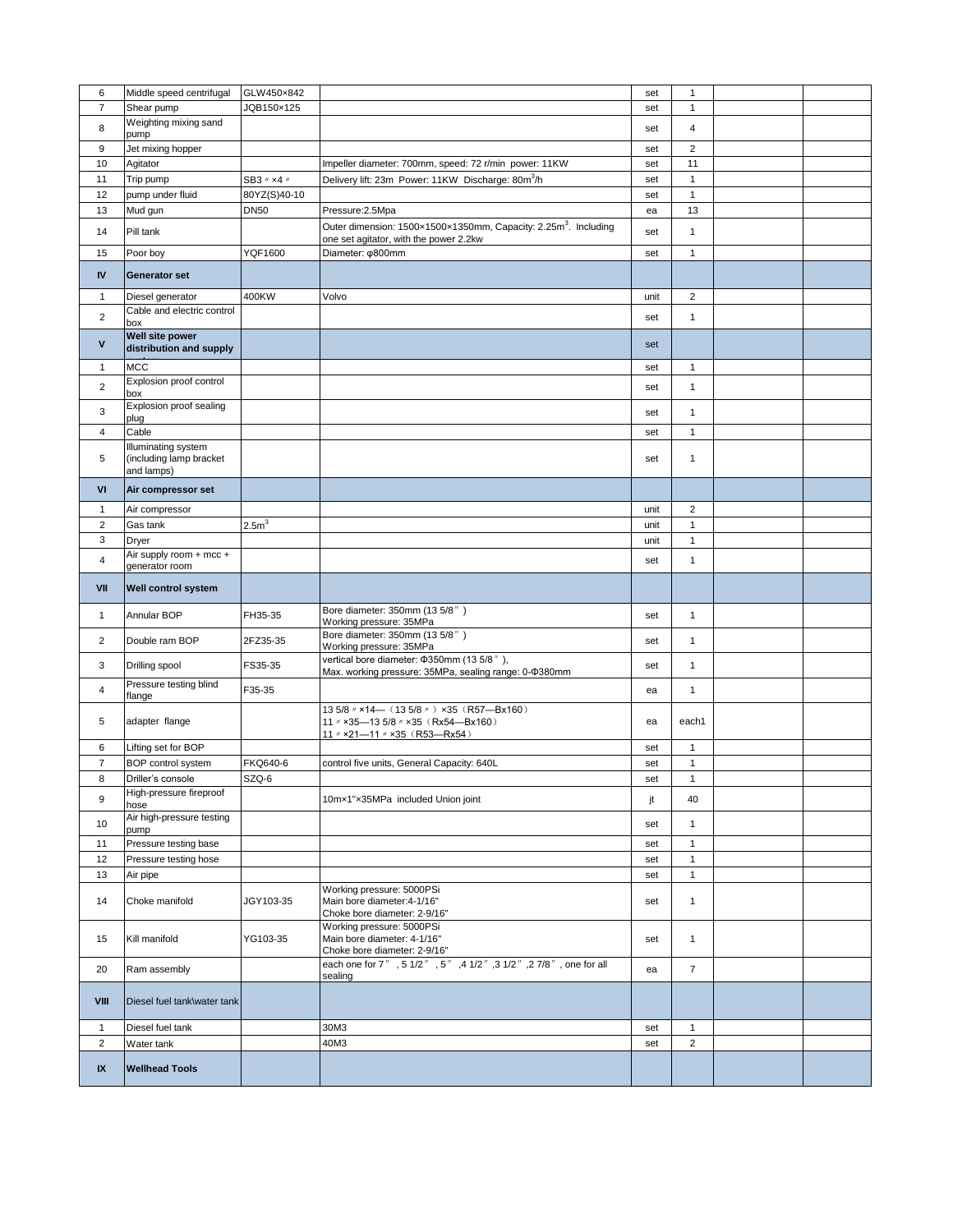| 6                    | Middle speed centrifugal         | GLW450×842       |                                                                                                                       | set  | $\mathbf{1}$   |  |
|----------------------|----------------------------------|------------------|-----------------------------------------------------------------------------------------------------------------------|------|----------------|--|
| $\overline{7}$       | Shear pump                       | JQB150×125       |                                                                                                                       | set  | $\mathbf{1}$   |  |
| 8                    | Weighting mixing sand            |                  |                                                                                                                       | set  | 4              |  |
|                      | pump                             |                  |                                                                                                                       |      |                |  |
| 9                    | Jet mixing hopper                |                  |                                                                                                                       | set  | $\overline{2}$ |  |
| 10                   | Agitator                         |                  | Impeller diameter: 700mm, speed: 72 r/min power: 11KW                                                                 | set  | 11             |  |
| 11                   | Trip pump                        | SB3 // x4 //     | Delivery lift: 23m Power: 11KW Discharge: 80m <sup>3</sup> /h                                                         | set  | $\mathbf{1}$   |  |
| 12                   | pump under fluid                 | 80YZ(S)40-10     |                                                                                                                       | set  | $\mathbf{1}$   |  |
| 13                   | Mud gun                          | <b>DN50</b>      | Pressure: 2.5Mpa                                                                                                      | ea   | 13             |  |
|                      |                                  |                  |                                                                                                                       |      |                |  |
| 14                   | Pill tank                        |                  | Outer dimension: 1500x1500x1350mm, Capacity: 2.25m <sup>3</sup> . Including<br>one set agitator, with the power 2.2kw | set  | $\mathbf{1}$   |  |
| 15                   | Poor boy                         | <b>YQF1600</b>   | Diameter: ¢800mm                                                                                                      |      | $\mathbf{1}$   |  |
|                      |                                  |                  |                                                                                                                       | set  |                |  |
| $\mathsf{IV}\xspace$ | <b>Generator set</b>             |                  |                                                                                                                       |      |                |  |
|                      |                                  |                  |                                                                                                                       |      |                |  |
| $\mathbf{1}$         | Diesel generator                 | 400KW            | Volvo                                                                                                                 | unit | $\overline{c}$ |  |
| 2                    | Cable and electric control       |                  |                                                                                                                       | set  | $\mathbf{1}$   |  |
|                      | box                              |                  |                                                                                                                       |      |                |  |
| V                    | Well site power                  |                  |                                                                                                                       | set  |                |  |
|                      | distribution and supply          |                  |                                                                                                                       |      |                |  |
| $\mathbf{1}$         | <b>MCC</b>                       |                  |                                                                                                                       | set  | $\mathbf{1}$   |  |
| $\overline{2}$       | Explosion proof control          |                  |                                                                                                                       | set  | 1              |  |
|                      | box                              |                  |                                                                                                                       |      |                |  |
| 3                    | Explosion proof sealing          |                  |                                                                                                                       | set  | 1              |  |
|                      | plug                             |                  |                                                                                                                       |      |                |  |
| 4                    | Cable                            |                  |                                                                                                                       | set  | $\mathbf{1}$   |  |
|                      | Illuminating system              |                  |                                                                                                                       |      |                |  |
| 5                    | (including lamp bracket          |                  |                                                                                                                       | set  | 1              |  |
|                      | and lamps)                       |                  |                                                                                                                       |      |                |  |
| VI                   | Air compressor set               |                  |                                                                                                                       |      |                |  |
| $\mathbf{1}$         | Air compressor                   |                  |                                                                                                                       | unit | $\overline{c}$ |  |
|                      |                                  |                  |                                                                                                                       |      |                |  |
| $\overline{2}$       | Gas tank                         | 2.5 <sup>m</sup> |                                                                                                                       | unit | $\mathbf{1}$   |  |
| 3                    | Dryer                            |                  |                                                                                                                       | unit | $\mathbf{1}$   |  |
| 4                    | Air supply room + mcc +          |                  |                                                                                                                       | set  | $\mathbf{1}$   |  |
|                      | generator room                   |                  |                                                                                                                       |      |                |  |
| VII                  | Well control system              |                  |                                                                                                                       |      |                |  |
|                      |                                  |                  |                                                                                                                       |      |                |  |
|                      |                                  |                  |                                                                                                                       |      |                |  |
| $\mathbf{1}$         | Annular BOP                      | FH35-35          | Bore diameter: 350mm (13 5/8")                                                                                        | set  | $\mathbf{1}$   |  |
|                      |                                  |                  | Working pressure: 35MPa                                                                                               |      |                |  |
| $\overline{2}$       | Double ram BOP                   | 2FZ35-35         | Bore diameter: 350mm (13 5/8")                                                                                        | set  | $\mathbf{1}$   |  |
|                      |                                  |                  | Working pressure: 35MPa                                                                                               |      |                |  |
| 3                    | Drilling spool                   | FS35-35          | vertical bore diameter: \$350mm (13 5/8"),                                                                            | set  | 1              |  |
|                      |                                  |                  | Max. working pressure: 35MPa, sealing range: 0-0380mm                                                                 |      |                |  |
| $\overline{4}$       | Pressure testing blind<br>flange | F35-35           |                                                                                                                       | ea   | 1              |  |
|                      |                                  |                  | 13 5/8 $\textit{w}$ ×14 (13 5/8 $\textit{w}$ ) x35 (R57 - Bx160)                                                      |      |                |  |
| 5                    | adapter flange                   |                  | 11 // x35-13 5/8 // x35 (Rx54-Bx160)                                                                                  | ea   | each1          |  |
|                      |                                  |                  | 11 // x21-11 // x35 (R53-Rx54)                                                                                        |      |                |  |
| 6                    | Lifting set for BOP              |                  |                                                                                                                       | set  | $\mathbf{1}$   |  |
| $\overline{7}$       | BOP control system               | FKQ640-6         | control five units, General Capacity: 640L                                                                            | set  | $\mathbf{1}$   |  |
| 8                    | Driller's console                | SZQ-6            |                                                                                                                       | set  | $\mathbf{1}$   |  |
|                      | High-pressure fireproof          |                  |                                                                                                                       |      |                |  |
| 9                    | hose                             |                  | 10mx1"x35MPa included Union joint                                                                                     | jt   | 40             |  |
|                      | Air high-pressure testing        |                  |                                                                                                                       |      |                |  |
| 10                   | pump                             |                  |                                                                                                                       | set  | 1              |  |
| 11                   | Pressure testing base            |                  |                                                                                                                       | set  | $\mathbf{1}$   |  |
| 12                   | Pressure testing hose            |                  |                                                                                                                       | set  | $\mathbf{1}$   |  |
| 13                   | Air pipe                         |                  |                                                                                                                       | set  | $\mathbf{1}$   |  |
|                      |                                  |                  |                                                                                                                       |      |                |  |
| 14                   | Choke manifold                   | JGY103-35        | Working pressure: 5000PSi<br>Main bore diameter: 4-1/16"                                                              | set  | 1              |  |
|                      |                                  |                  | Choke bore diameter: 2-9/16"                                                                                          |      |                |  |
|                      |                                  |                  | Working pressure: 5000PSi                                                                                             |      |                |  |
| 15                   | Kill manifold                    | YG103-35         | Main bore diameter: 4-1/16"                                                                                           | set  | $\mathbf{1}$   |  |
|                      |                                  |                  | Choke bore diameter: 2-9/16"                                                                                          |      |                |  |
| 20                   | Ram assembly                     |                  | each one for 7", 51/2", 5", 41/2", 31/2", 27/8", one for all                                                          | ea   | $\overline{7}$ |  |
|                      |                                  |                  | sealing                                                                                                               |      |                |  |
|                      |                                  |                  |                                                                                                                       |      |                |  |
| VIII                 | Diesel fuel tank\water tank      |                  |                                                                                                                       |      |                |  |
| $\mathbf{1}$         | Diesel fuel tank                 |                  | 30M3                                                                                                                  | set  | $\mathbf{1}$   |  |
|                      |                                  |                  |                                                                                                                       |      |                |  |
| $\overline{2}$       | Water tank                       |                  | 40M3                                                                                                                  | set  | $\overline{c}$ |  |
| IX                   | <b>Wellhead Tools</b>            |                  |                                                                                                                       |      |                |  |